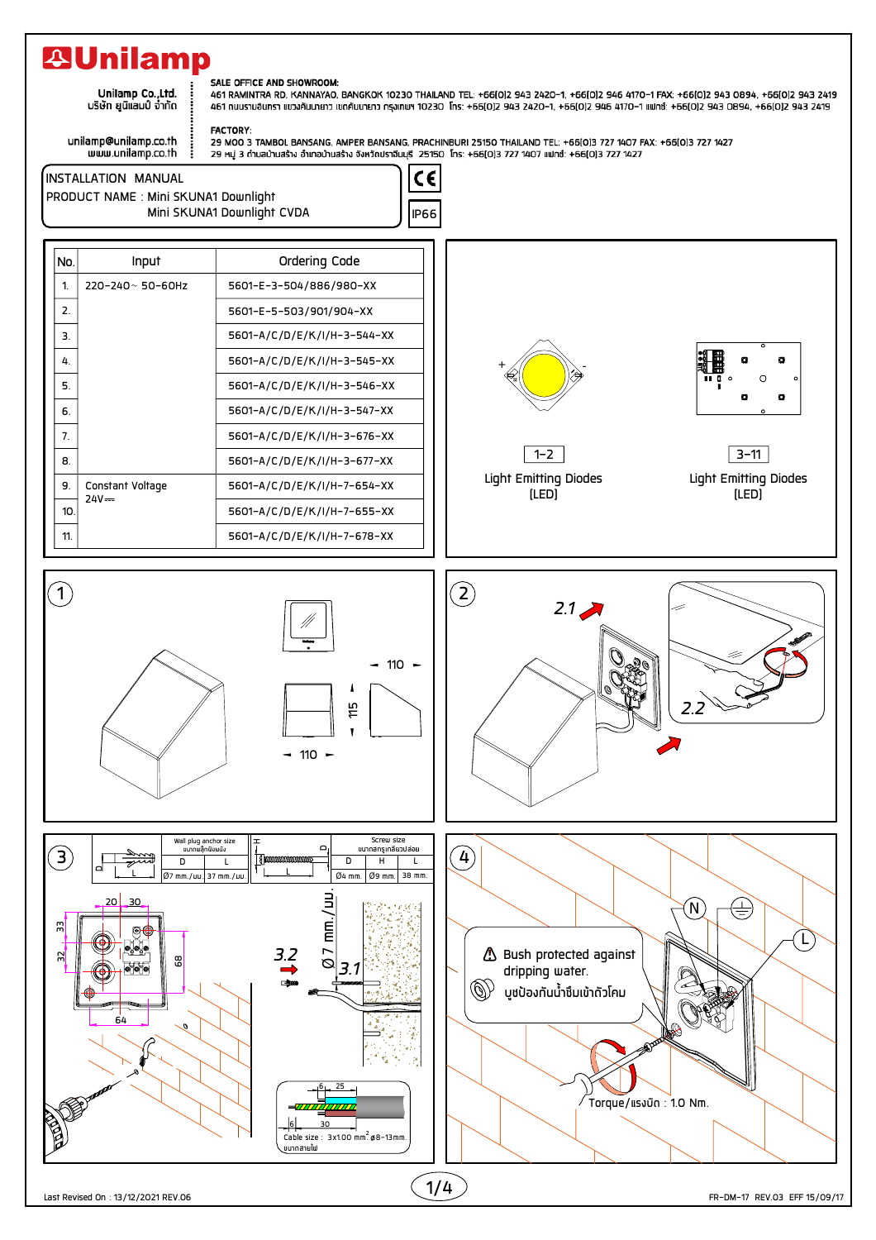## **29Unilamp**

.<br>.Unilamp Co.,Ltd<br>บริษัท ยูนิแลมป์ จำกัด

## SALE OFFICE AND SHOWROOM:

461 RAMINTRA RD, KANNAYAO, BANGKOK 10230 THAILAND TEL: +66(0)2 943 2420-1, +66(0)2 946 4170-1 FAX: +66(0)2 943 0894, +66(0)2 943 2419 461 ถนนรามอินทรา แขวงคันนายาว เขตคันนายาว ทรุงเทพฯ 10230 โกร: +66(0)2 943 2420-1, +66(0)2 946 4170-1 แฟกซ์: +66(0)2 943 0894, +66(0)2 943 2419

unilamp@unilamp.co.th www.unilamp.co.th

**FACTORY:** 29 MOO 3 TAMBOL BANSANG, AMPER BANSANG, PRACHINBURI 25150 THAILAND TEL: +66(0)3 727 1407 FAX: +66(0)3 727 1427 29 หมู่ 3 ถ้าบลบ้านสร้าง อำเภอบ้านสร้าง จังหวัดปราจีนบุรี 25150 โทร: +66(0)3 727 1407 แฟทซ์: +66(0)3 727 1427

 $c\epsilon$ **INSTALLATION MANUAL** PRODUCT NAME : Mini SKUNA1 Downlight Mini SKUNA1 Downlight CVDA **IP66** Ordering Code **No** Input  $\overline{1}$ . 220-240~ 50-60Hz 5601-E-3-504/886/980-XX  $\overline{2}$ . 5601-E-5-503/901/904-XX  $\overline{3}$ . 5601-A/C/D/E/K/I/H-3-544-XX  $\overline{4}$ 5601-A/C/D/E/K/I/H-3-545-XX  $\overline{5}$ . 5601-A/C/D/E/K/I/H-3-546-XX 6. 5601-A/C/D/E/K/I/H-3-547-XX  $\overline{7}$ . 5601-A/C/D/E/K/I/H-3-676-XX  $3 - 11$  $1 - 2$  $\overline{8}$ 5601-A/C/D/E/K/I/H-3-677-XX **Light Emitting Diodes Light Emitting Diodes** 9. Constant Voltage 5601-A/C/D/E/K/I/H-7-654-XX  $[LED]$  $[LED]$  $74V =$  $10<sup>10</sup>$ 5601-A/C/D/E/K/I/H-7-655-XX 11. 5601-A/C/D/E/K/I/H-7-678-XX

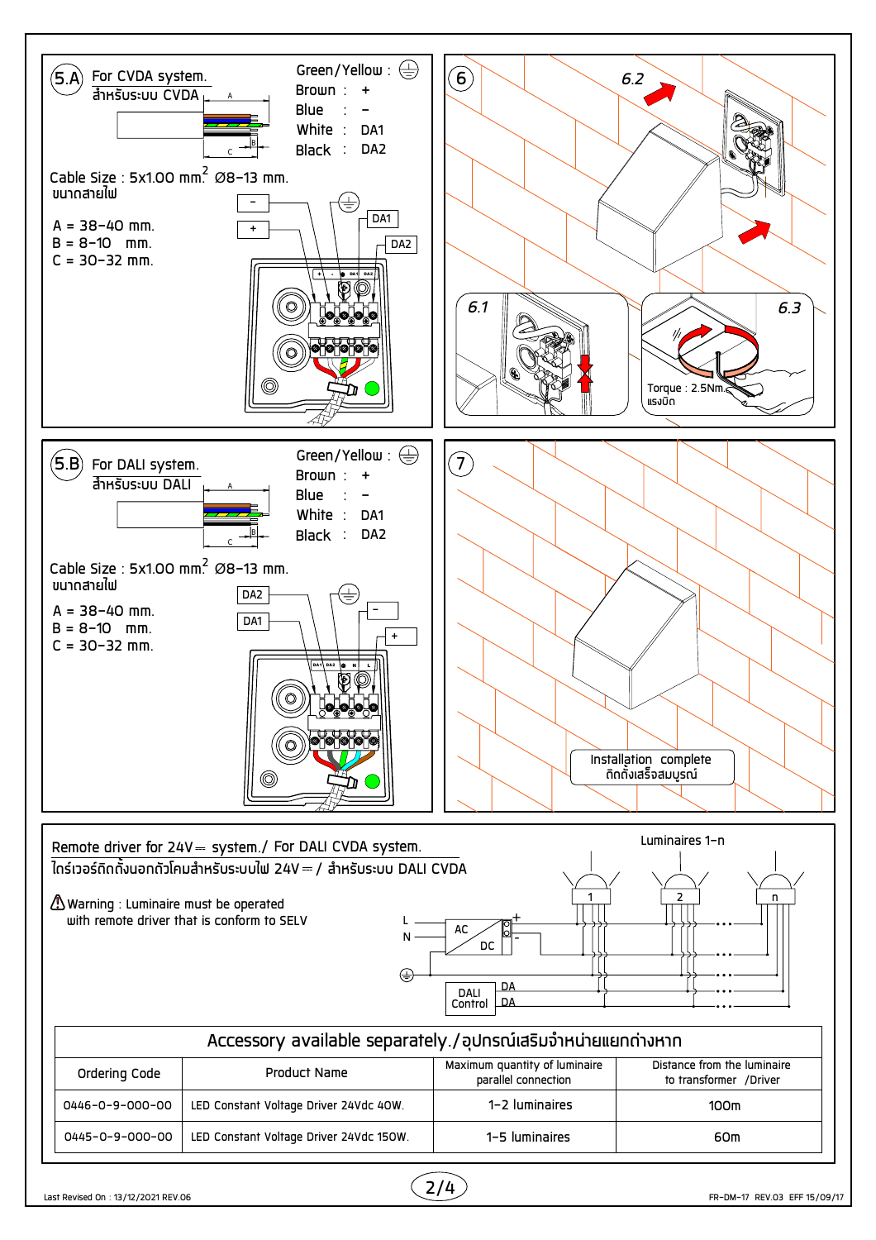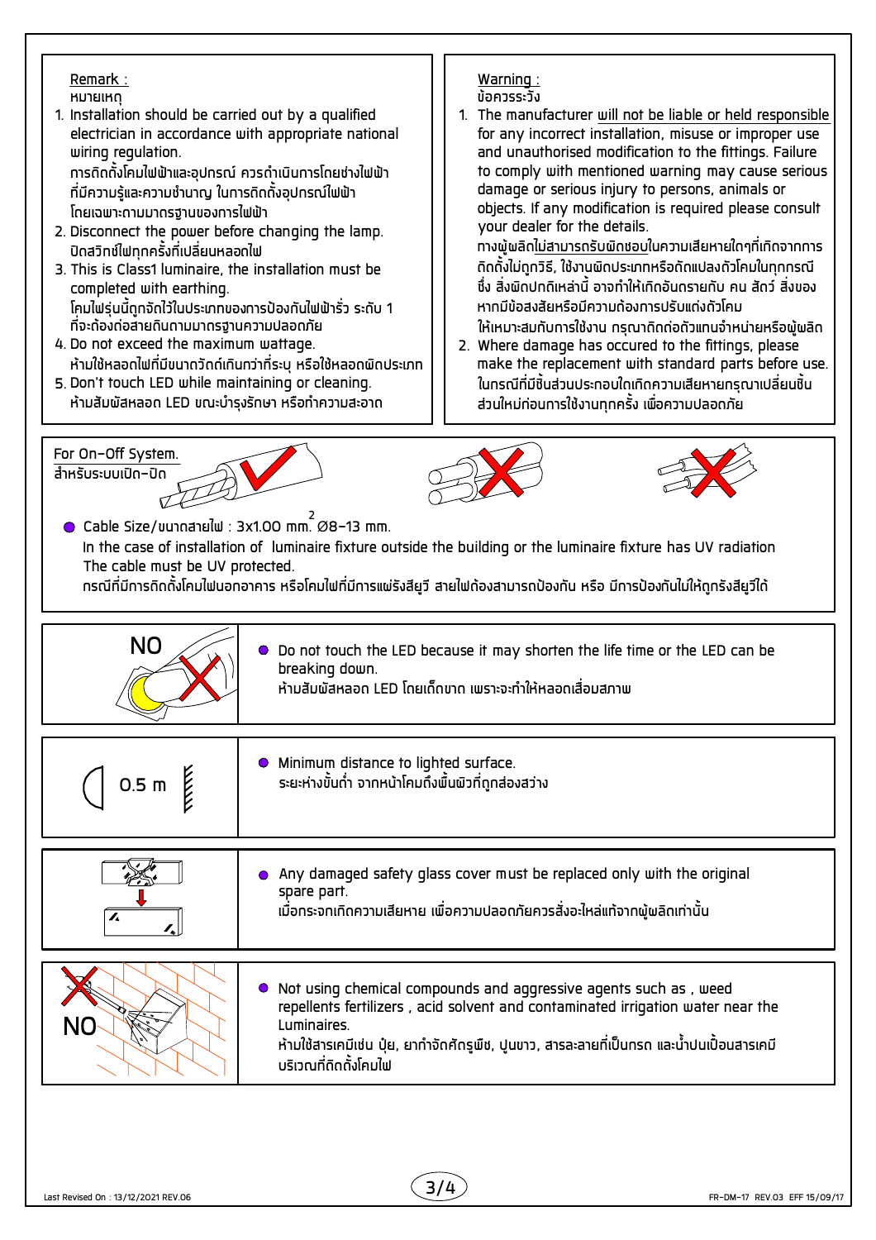